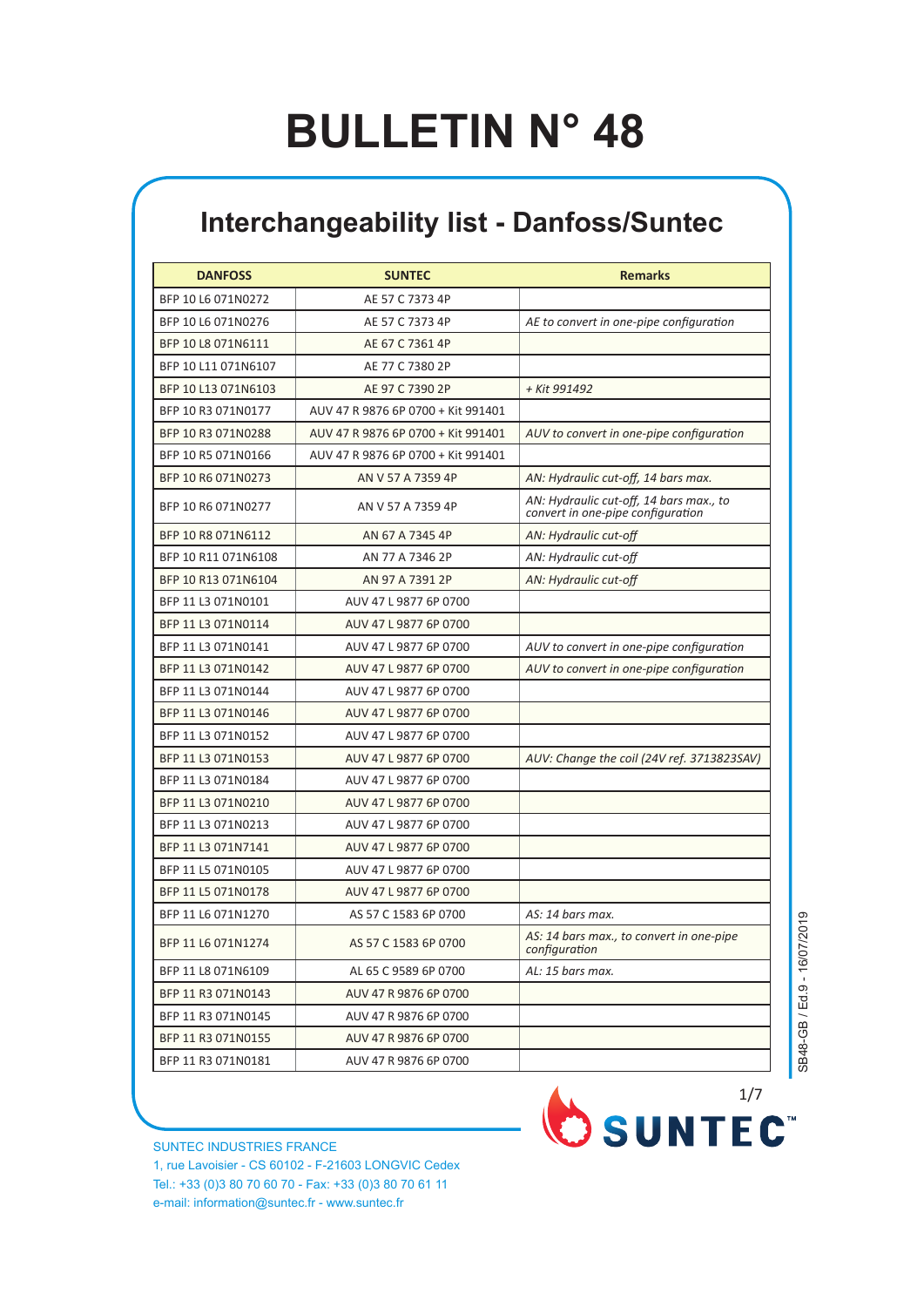## **BULLETIN N° 48**

## **Interchangeability list - Danfoss/Suntec**

| <b>DANFOSS</b>      | <b>SUNTEC</b>                      | <b>Remarks</b>                                                               |
|---------------------|------------------------------------|------------------------------------------------------------------------------|
| BFP 10 L6 071N0272  | AE 57 C 7373 4P                    |                                                                              |
| BFP 10 L6 071N0276  | AE 57 C 7373 4P                    | AE to convert in one-pipe configuration                                      |
| BFP 10 L8 071N6111  | AE 67 C 7361 4P                    |                                                                              |
| BFP 10 L11 071N6107 | AE 77 C 7380 2P                    |                                                                              |
| BFP 10 L13 071N6103 | AE 97 C 7390 2P                    | + Kit 991492                                                                 |
| BFP 10 R3 071N0177  | AUV 47 R 9876 6P 0700 + Kit 991401 |                                                                              |
| BFP 10 R3 071N0288  | AUV 47 R 9876 6P 0700 + Kit 991401 | AUV to convert in one-pipe configuration                                     |
| BFP 10 R5 071N0166  | AUV 47 R 9876 6P 0700 + Kit 991401 |                                                                              |
| BFP 10 R6 071N0273  | AN V 57 A 7359 4P                  | AN: Hydraulic cut-off, 14 bars max.                                          |
| BFP 10 R6 071N0277  | AN V 57 A 7359 4P                  | AN: Hydraulic cut-off, 14 bars max., to<br>convert in one-pipe configuration |
| BFP 10 R8 071N6112  | AN 67 A 7345 4P                    | AN: Hydraulic cut-off                                                        |
| BFP 10 R11 071N6108 | AN 77 A 7346 2P                    | AN: Hydraulic cut-off                                                        |
| BFP 10 R13 071N6104 | AN 97 A 7391 2P                    | AN: Hydraulic cut-off                                                        |
| BFP 11 L3 071N0101  | AUV 47 L 9877 6P 0700              |                                                                              |
| BFP 11 L3 071N0114  | AUV 47 L 9877 6P 0700              |                                                                              |
| BFP 11 L3 071N0141  | AUV 47 L 9877 6P 0700              | AUV to convert in one-pipe configuration                                     |
| BFP 11 L3 071N0142  | AUV 47 L 9877 6P 0700              | AUV to convert in one-pipe configuration                                     |
| BFP 11 L3 071N0144  | AUV 47 L 9877 6P 0700              |                                                                              |
| BFP 11 L3 071N0146  | AUV 47 L 9877 6P 0700              |                                                                              |
| BFP 11 L3 071N0152  | AUV 47 L 9877 6P 0700              |                                                                              |
| BFP 11 L3 071N0153  | AUV 47 L 9877 6P 0700              | AUV: Change the coil (24V ref. 3713823SAV)                                   |
| BFP 11 L3 071N0184  | AUV 47 L 9877 6P 0700              |                                                                              |
| BFP 11 L3 071N0210  | AUV 47 L 9877 6P 0700              |                                                                              |
| BFP 11 L3 071N0213  | AUV 47 L 9877 6P 0700              |                                                                              |
| BFP 11 L3 071N7141  | AUV 47 L 9877 6P 0700              |                                                                              |
| BFP 11 L5 071N0105  | AUV 47 L 9877 6P 0700              |                                                                              |
| BFP 11 L5 071N0178  | AUV 47 L 9877 6P 0700              |                                                                              |
| BFP 11 L6 071N1270  | AS 57 C 1583 6P 0700               | AS: 14 bars max.                                                             |
| BFP 11 L6 071N1274  | AS 57 C 1583 6P 0700               | AS: 14 bars max., to convert in one-pipe<br>configuration                    |
| BFP 11 L8 071N6109  | AL 65 C 9589 6P 0700               | AL: 15 bars max.                                                             |
| BFP 11 R3 071N0143  | AUV 47 R 9876 6P 0700              |                                                                              |
| BFP 11 R3 071N0145  | AUV 47 R 9876 6P 0700              |                                                                              |
| BFP 11 R3 071N0155  | AUV 47 R 9876 6P 0700              |                                                                              |
| BFP 11 R3 071N0181  | AUV 47 R 9876 6P 0700              |                                                                              |

SB48-GB / Ed.9 - 16/07/2019 SB48-GB / Ed.9 - 16/07/2019

SUNTEC INDUSTRIES FRANCE 1, rue Lavoisier - CS 60102 - F-21603 LONGVIC Cedex Tel.: +33 (0)3 80 70 60 70 - Fax: +33 (0)3 80 70 61 11 e-mail: information@suntec.fr - www.suntec.fr

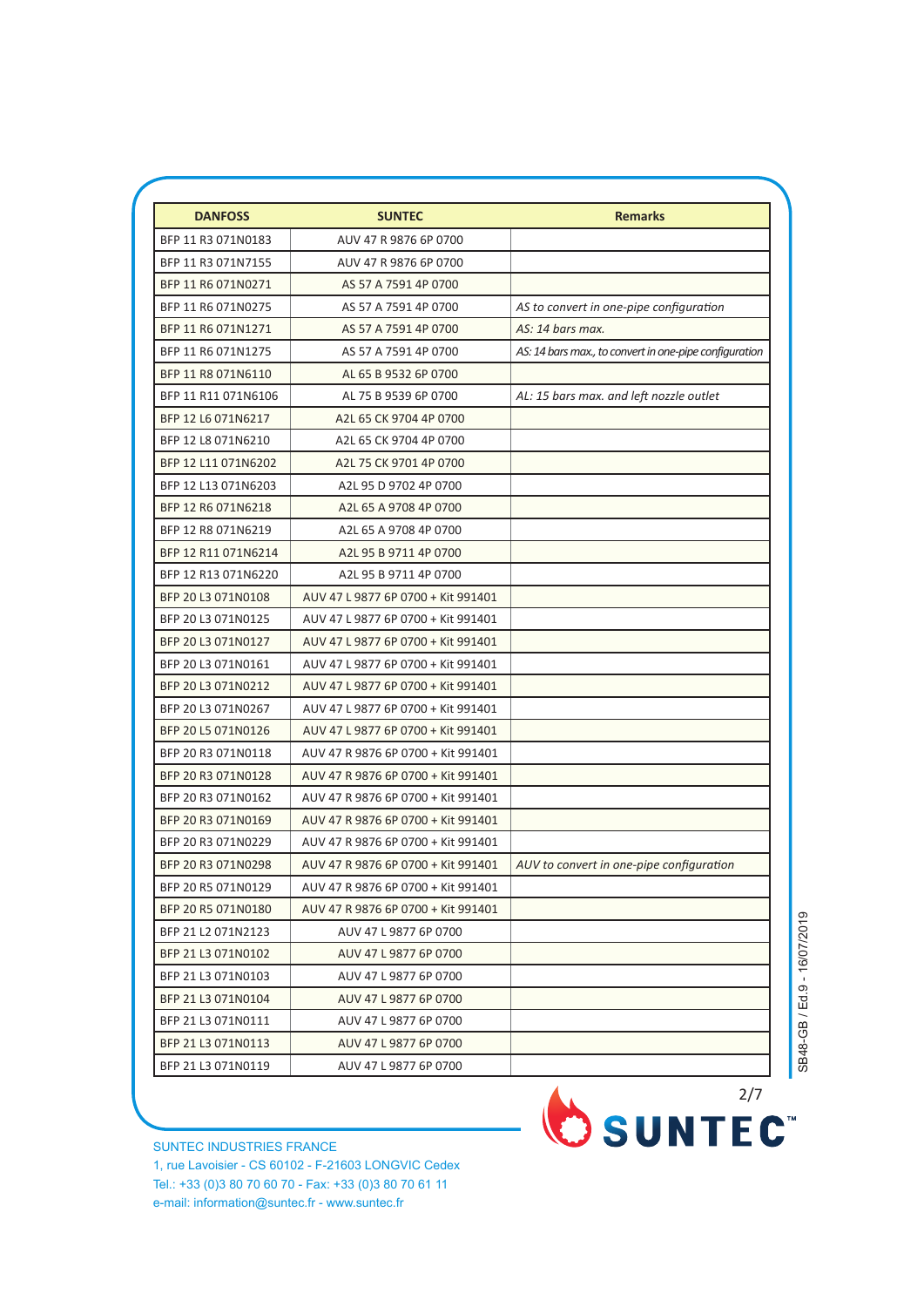| <b>DANFOSS</b>      | <b>SUNTEC</b>                      | <b>Remarks</b>                                         |
|---------------------|------------------------------------|--------------------------------------------------------|
| BFP 11 R3 071N0183  | AUV 47 R 9876 6P 0700              |                                                        |
| BFP 11 R3 071N7155  | AUV 47 R 9876 6P 0700              |                                                        |
| BFP 11 R6 071N0271  | AS 57 A 7591 4P 0700               |                                                        |
| BFP 11 R6 071N0275  | AS 57 A 7591 4P 0700               | AS to convert in one-pipe configuration                |
| BFP 11 R6 071N1271  | AS 57 A 7591 4P 0700               | AS: 14 bars max.                                       |
| BFP 11 R6 071N1275  | AS 57 A 7591 4P 0700               | AS: 14 bars max., to convert in one-pipe configuration |
| BFP 11 R8 071N6110  | AL 65 B 9532 6P 0700               |                                                        |
| BFP 11 R11 071N6106 | AL 75 B 9539 6P 0700               | AL: 15 bars max. and left nozzle outlet                |
| BFP 12 L6 071N6217  | A2L 65 CK 9704 4P 0700             |                                                        |
| BFP 12 L8 071N6210  | A2L 65 CK 9704 4P 0700             |                                                        |
| BFP 12 L11 071N6202 | A2L 75 CK 9701 4P 0700             |                                                        |
| BFP 12 L13 071N6203 | A2L 95 D 9702 4P 0700              |                                                        |
| BFP 12 R6 071N6218  | A2L 65 A 9708 4P 0700              |                                                        |
| BFP 12 R8 071N6219  | A2L 65 A 9708 4P 0700              |                                                        |
| BFP 12 R11 071N6214 | A2L 95 B 9711 4P 0700              |                                                        |
| BFP 12 R13 071N6220 | A2L 95 B 9711 4P 0700              |                                                        |
| BFP 20 L3 071N0108  | AUV 47 L 9877 6P 0700 + Kit 991401 |                                                        |
| BFP 20 L3 071N0125  | AUV 47 L 9877 6P 0700 + Kit 991401 |                                                        |
| BFP 20 L3 071N0127  | AUV 47 L 9877 6P 0700 + Kit 991401 |                                                        |
| BFP 20 L3 071N0161  | AUV 47 L 9877 6P 0700 + Kit 991401 |                                                        |
| BFP 20 L3 071N0212  | AUV 47 L 9877 6P 0700 + Kit 991401 |                                                        |
| BFP 20 L3 071N0267  | AUV 47 L 9877 6P 0700 + Kit 991401 |                                                        |
| BFP 20 L5 071N0126  | AUV 47 L 9877 6P 0700 + Kit 991401 |                                                        |
| BFP 20 R3 071N0118  | AUV 47 R 9876 6P 0700 + Kit 991401 |                                                        |
| BFP 20 R3 071N0128  | AUV 47 R 9876 6P 0700 + Kit 991401 |                                                        |
| BFP 20 R3 071N0162  | AUV 47 R 9876 6P 0700 + Kit 991401 |                                                        |
| BFP 20 R3 071N0169  | AUV 47 R 9876 6P 0700 + Kit 991401 |                                                        |
| BFP 20 R3 071N0229  | AUV 47 R 9876 6P 0700 + Kit 991401 |                                                        |
| BFP 20 R3 071N0298  | AUV 47 R 9876 6P 0700 + Kit 991401 | AUV to convert in one-pipe configuration               |
| BFP 20 R5 071N0129  | AUV 47 R 9876 6P 0700 + Kit 991401 |                                                        |
| BFP 20 R5 071N0180  | AUV 47 R 9876 6P 0700 + Kit 991401 |                                                        |
| BFP 21 L2 071N2123  | AUV 47 L 9877 6P 0700              |                                                        |
| BFP 21 L3 071N0102  | AUV 47 L 9877 6P 0700              |                                                        |
| BFP 21 L3 071N0103  | AUV 47 L 9877 6P 0700              |                                                        |
| BFP 21 L3 071N0104  | AUV 47 L 9877 6P 0700              |                                                        |
| BFP 21 L3 071N0111  | AUV 47 L 9877 6P 0700              |                                                        |
| BFP 21 L3 071N0113  | AUV 47 L 9877 6P 0700              |                                                        |
| BFP 21 L3 071N0119  | AUV 47 L 9877 6P 0700              |                                                        |

SUNTEC INDUSTRIES FRANCE 1, rue Lavoisier - CS 60102 - F-21603 LONGVIC Cedex Tel.: +33 (0)3 80 70 60 70 - Fax: +33 (0)3 80 70 61 11 e-mail: information@suntec.fr - www.suntec.fr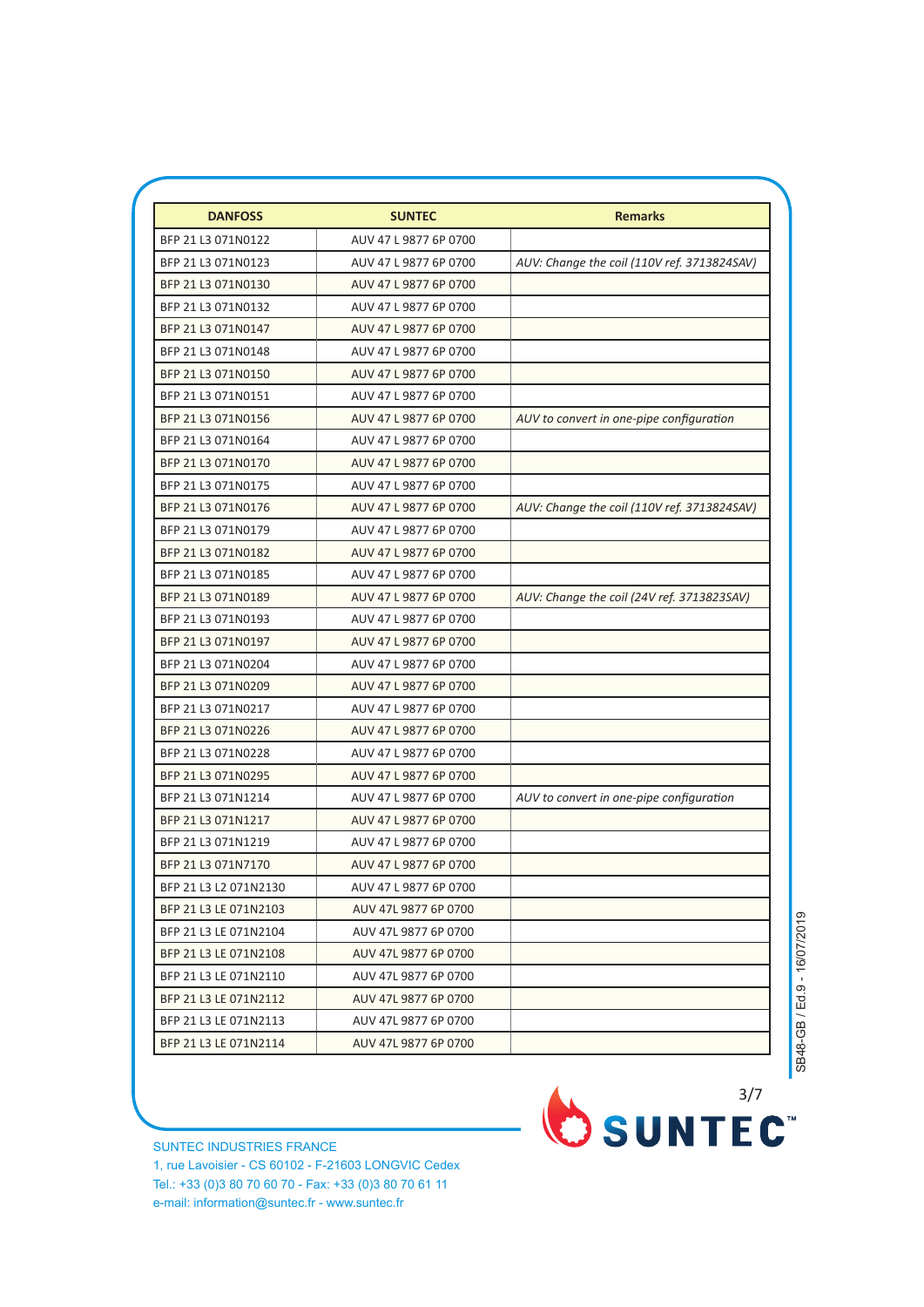| <b>DANFOSS</b>        | <b>SUNTEC</b>         | <b>Remarks</b>                              |
|-----------------------|-----------------------|---------------------------------------------|
| BFP 21 L3 071N0122    | AUV 47 L 9877 6P 0700 |                                             |
| BFP 21 L3 071N0123    | AUV 47 L 9877 6P 0700 | AUV: Change the coil (110V ref. 3713824SAV) |
| BFP 21 L3 071N0130    | AUV 47 L 9877 6P 0700 |                                             |
| BFP 21 L3 071N0132    | AUV 47 L 9877 6P 0700 |                                             |
| BFP 21 L3 071N0147    | AUV 47 L 9877 6P 0700 |                                             |
| BFP 21 L3 071N0148    | AUV 47 L 9877 6P 0700 |                                             |
| BFP 21 L3 071N0150    | AUV 47 L 9877 6P 0700 |                                             |
| BFP 21 L3 071N0151    | AUV 47 L 9877 6P 0700 |                                             |
| BFP 21 L3 071N0156    | AUV 47 L 9877 6P 0700 | AUV to convert in one-pipe configuration    |
| BFP 21 L3 071N0164    | AUV 47 L 9877 6P 0700 |                                             |
| BFP 21 L3 071N0170    | AUV 47 L 9877 6P 0700 |                                             |
| BFP 21 L3 071N0175    | AUV 47 L 9877 6P 0700 |                                             |
| BFP 21 L3 071N0176    | AUV 47 L 9877 6P 0700 | AUV: Change the coil (110V ref. 3713824SAV) |
| BFP 21 L3 071N0179    | AUV 47 L 9877 6P 0700 |                                             |
| BFP 21 L3 071N0182    | AUV 47 L 9877 6P 0700 |                                             |
| BFP 21 L3 071N0185    | AUV 47 L 9877 6P 0700 |                                             |
| BFP 21 L3 071N0189    | AUV 47 L 9877 6P 0700 | AUV: Change the coil (24V ref. 3713823SAV)  |
| BFP 21 L3 071N0193    | AUV 47 L 9877 6P 0700 |                                             |
| BFP 21 L3 071N0197    | AUV 47 L 9877 6P 0700 |                                             |
| BFP 21 L3 071N0204    | AUV 47 L 9877 6P 0700 |                                             |
| BFP 21 L3 071N0209    | AUV 47 L 9877 6P 0700 |                                             |
| BFP 21 L3 071N0217    | AUV 47 L 9877 6P 0700 |                                             |
| BFP 21 L3 071N0226    | AUV 47 L 9877 6P 0700 |                                             |
| BFP 21 L3 071N0228    | AUV 47 L 9877 6P 0700 |                                             |
| BFP 21 L3 071N0295    | AUV 47 L 9877 6P 0700 |                                             |
| BFP 21 L3 071N1214    | AUV 47 L 9877 6P 0700 | AUV to convert in one-pipe configuration    |
| BFP 21 L3 071N1217    | AUV 47 L 9877 6P 0700 |                                             |
| BFP 21 L3 071N1219    | AUV 47 L 9877 6P 0700 |                                             |
| BFP 21 L3 071N7170    | AUV 47 L 9877 6P 0700 |                                             |
| BFP 21 L3 L2 071N2130 | AUV 47 L 9877 6P 0700 |                                             |
| BFP 21 L3 LE 071N2103 | AUV 47L 9877 6P 0700  |                                             |
| BFP 21 L3 LE 071N2104 | AUV 47L 9877 6P 0700  |                                             |
| BFP 21 L3 LE 071N2108 | AUV 47L 9877 6P 0700  |                                             |
| BFP 21 L3 LE 071N2110 | AUV 47L 9877 6P 0700  |                                             |
| BFP 21 L3 LE 071N2112 | AUV 47L 9877 6P 0700  |                                             |
| BFP 21 L3 LE 071N2113 | AUV 47L 9877 6P 0700  |                                             |
| BFP 21 L3 LE 071N2114 | AUV 47L 9877 6P 0700  |                                             |

SB48-GB / Ed.9 - 16/07/2019 SB48-GB / Ed.9 - 16/07/2019

SUNTEC INDUSTRIES FRANCE 1, rue Lavoisier - CS 60102 - F-21603 LONGVIC Cedex Tel.: +33 (0)3 80 70 60 70 - Fax: +33 (0)3 80 70 61 11 e-mail: information@suntec.fr - www.suntec.fr

OSUNTEC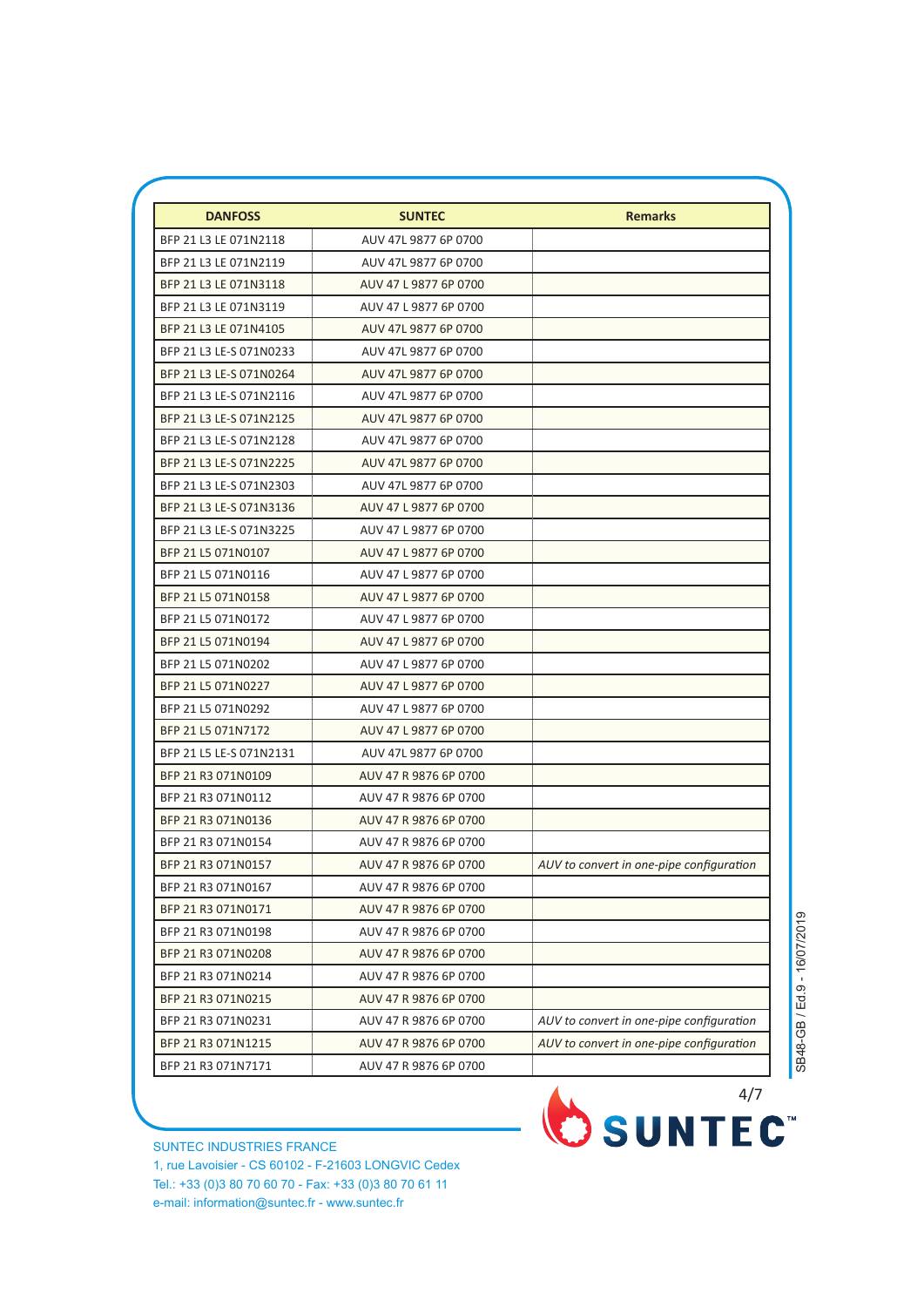| <b>DANFOSS</b>          | <b>SUNTEC</b>         | <b>Remarks</b>                           |
|-------------------------|-----------------------|------------------------------------------|
| BFP 21 L3 LE 071N2118   | AUV 47L 9877 6P 0700  |                                          |
| BFP 21 L3 LE 071N2119   | AUV 47L 9877 6P 0700  |                                          |
| BFP 21 L3 LE 071N3118   | AUV 47 L 9877 6P 0700 |                                          |
| BFP 21 L3 LE 071N3119   | AUV 47 L 9877 6P 0700 |                                          |
| BFP 21 L3 LE 071N4105   | AUV 47L 9877 6P 0700  |                                          |
| BFP 21 L3 LE-S 071N0233 | AUV 47L 9877 6P 0700  |                                          |
| BFP 21 L3 LE-S 071N0264 | AUV 47L 9877 6P 0700  |                                          |
| BFP 21 L3 LE-S 071N2116 | AUV 47L 9877 6P 0700  |                                          |
| BFP 21 L3 LE-S 071N2125 | AUV 47L 9877 6P 0700  |                                          |
| BFP 21 L3 LE-S 071N2128 | AUV 47L 9877 6P 0700  |                                          |
| BFP 21 L3 LE-S 071N2225 | AUV 47L 9877 6P 0700  |                                          |
| BFP 21 L3 LE-S 071N2303 | AUV 47L 9877 6P 0700  |                                          |
| BFP 21 L3 LE-S 071N3136 | AUV 47 L 9877 6P 0700 |                                          |
| BFP 21 L3 LE-S 071N3225 | AUV 47 L 9877 6P 0700 |                                          |
| BFP 21 L5 071N0107      | AUV 47 L 9877 6P 0700 |                                          |
| BFP 21 L5 071N0116      | AUV 47 L 9877 6P 0700 |                                          |
| BFP 21 L5 071N0158      | AUV 47 L 9877 6P 0700 |                                          |
| BFP 21 L5 071N0172      | AUV 47 L 9877 6P 0700 |                                          |
| BFP 21 L5 071N0194      | AUV 47 L 9877 6P 0700 |                                          |
| BFP 21 L5 071N0202      | AUV 47 L 9877 6P 0700 |                                          |
| BFP 21 L5 071N0227      | AUV 47 L 9877 6P 0700 |                                          |
| BFP 21 L5 071N0292      | AUV 47 L 9877 6P 0700 |                                          |
| BFP 21 L5 071N7172      | AUV 47 L 9877 6P 0700 |                                          |
| BFP 21 L5 LE-S 071N2131 | AUV 47L 9877 6P 0700  |                                          |
| BFP 21 R3 071N0109      | AUV 47 R 9876 6P 0700 |                                          |
| BFP 21 R3 071N0112      | AUV 47 R 9876 6P 0700 |                                          |
| BFP 21 R3 071N0136      | AUV 47 R 9876 6P 0700 |                                          |
| BFP 21 R3 071N0154      | AUV 47 R 9876 6P 0700 |                                          |
| BFP 21 R3 071N0157      | AUV 47 R 9876 6P 0700 | AUV to convert in one-pipe configuration |
| BFP 21 R3 071N0167      | AUV 47 R 9876 6P 0700 |                                          |
| BFP 21 R3 071N0171      | AUV 47 R 9876 6P 0700 |                                          |
| BFP 21 R3 071N0198      | AUV 47 R 9876 6P 0700 |                                          |
| BFP 21 R3 071N0208      | AUV 47 R 9876 6P 0700 |                                          |
| BFP 21 R3 071N0214      | AUV 47 R 9876 6P 0700 |                                          |
| BFP 21 R3 071N0215      | AUV 47 R 9876 6P 0700 |                                          |
| BFP 21 R3 071N0231      | AUV 47 R 9876 6P 0700 | AUV to convert in one-pipe configuration |
| BFP 21 R3 071N1215      | AUV 47 R 9876 6P 0700 | AUV to convert in one-pipe configuration |
| BFP 21 R3 071N7171      | AUV 47 R 9876 6P 0700 |                                          |

SB48-GB / Ed.9 - 16/07/2019 SB48-GB / Ed.9 - 16/07/2019

SUNTEC INDUSTRIES FRANCE 1, rue Lavoisier - CS 60102 - F-21603 LONGVIC Cedex Tel.: +33 (0)3 80 70 60 70 - Fax: +33 (0)3 80 70 61 11 e-mail: information@suntec.fr - www.suntec.fr

SUNTEC<sup>"</sup>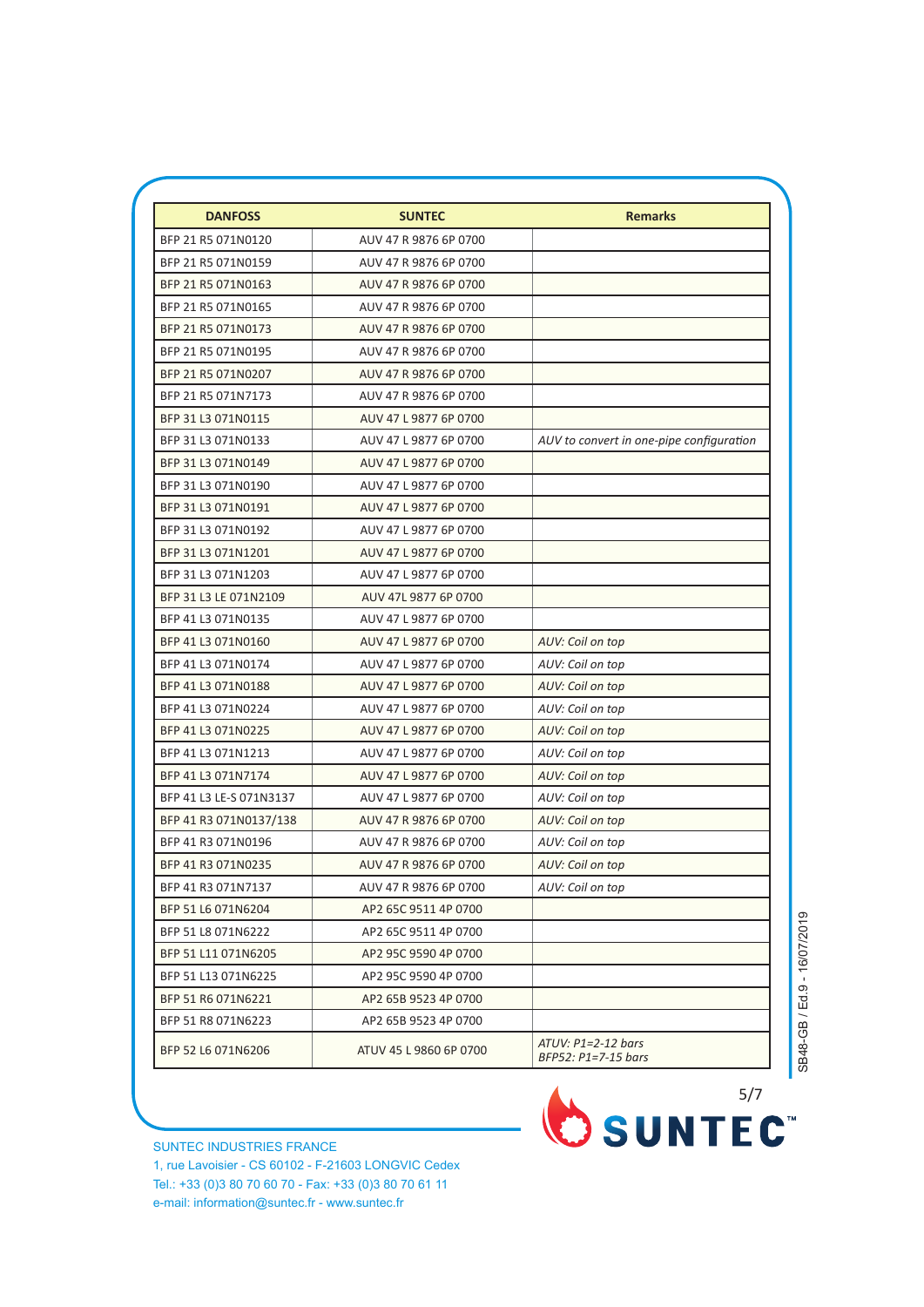| BFP 21 R5 071N0120<br>AUV 47 R 9876 6P 0700<br>BFP 21 R5 071N0159<br>AUV 47 R 9876 6P 0700<br>BFP 21 R5 071N0163<br>AUV 47 R 9876 6P 0700<br>BFP 21 R5 071N0165<br>AUV 47 R 9876 6P 0700<br>BFP 21 R5 071N0173<br>AUV 47 R 9876 6P 0700<br>BFP 21 R5 071N0195<br>AUV 47 R 9876 6P 0700<br>BFP 21 R5 071N0207<br>AUV 47 R 9876 6P 0700<br>BFP 21 R5 071N7173<br>AUV 47 R 9876 6P 0700<br>BFP 31 L3 071N0115<br>AUV 47 L 9877 6P 0700<br>BFP 31 L3 071N0133<br>AUV 47 L 9877 6P 0700<br>AUV to convert in one-pipe configuration<br>BFP 31 L3 071N0149<br>AUV 47 L 9877 6P 0700<br>BFP 31 L3 071N0190<br>AUV 47 L 9877 6P 0700<br>BFP 31 L3 071N0191<br>AUV 47 L 9877 6P 0700 |  |
|-----------------------------------------------------------------------------------------------------------------------------------------------------------------------------------------------------------------------------------------------------------------------------------------------------------------------------------------------------------------------------------------------------------------------------------------------------------------------------------------------------------------------------------------------------------------------------------------------------------------------------------------------------------------------------|--|
|                                                                                                                                                                                                                                                                                                                                                                                                                                                                                                                                                                                                                                                                             |  |
|                                                                                                                                                                                                                                                                                                                                                                                                                                                                                                                                                                                                                                                                             |  |
|                                                                                                                                                                                                                                                                                                                                                                                                                                                                                                                                                                                                                                                                             |  |
|                                                                                                                                                                                                                                                                                                                                                                                                                                                                                                                                                                                                                                                                             |  |
|                                                                                                                                                                                                                                                                                                                                                                                                                                                                                                                                                                                                                                                                             |  |
|                                                                                                                                                                                                                                                                                                                                                                                                                                                                                                                                                                                                                                                                             |  |
|                                                                                                                                                                                                                                                                                                                                                                                                                                                                                                                                                                                                                                                                             |  |
|                                                                                                                                                                                                                                                                                                                                                                                                                                                                                                                                                                                                                                                                             |  |
|                                                                                                                                                                                                                                                                                                                                                                                                                                                                                                                                                                                                                                                                             |  |
|                                                                                                                                                                                                                                                                                                                                                                                                                                                                                                                                                                                                                                                                             |  |
|                                                                                                                                                                                                                                                                                                                                                                                                                                                                                                                                                                                                                                                                             |  |
|                                                                                                                                                                                                                                                                                                                                                                                                                                                                                                                                                                                                                                                                             |  |
|                                                                                                                                                                                                                                                                                                                                                                                                                                                                                                                                                                                                                                                                             |  |
| BFP 31 L3 071N0192<br>AUV 47 L 9877 6P 0700                                                                                                                                                                                                                                                                                                                                                                                                                                                                                                                                                                                                                                 |  |
| BFP 31 L3 071N1201<br>AUV 47 L 9877 6P 0700                                                                                                                                                                                                                                                                                                                                                                                                                                                                                                                                                                                                                                 |  |
| BFP 31 L3 071N1203<br>AUV 47 L 9877 6P 0700                                                                                                                                                                                                                                                                                                                                                                                                                                                                                                                                                                                                                                 |  |
| BFP 31 L3 LE 071N2109<br>AUV 47L 9877 6P 0700                                                                                                                                                                                                                                                                                                                                                                                                                                                                                                                                                                                                                               |  |
| BFP 41 L3 071N0135<br>AUV 47 L 9877 6P 0700                                                                                                                                                                                                                                                                                                                                                                                                                                                                                                                                                                                                                                 |  |
| BFP 41 L3 071N0160<br>AUV 47 L 9877 6P 0700<br>AUV: Coil on top                                                                                                                                                                                                                                                                                                                                                                                                                                                                                                                                                                                                             |  |
| BFP 41 L3 071N0174<br>AUV 47 L 9877 6P 0700<br>AUV: Coil on top                                                                                                                                                                                                                                                                                                                                                                                                                                                                                                                                                                                                             |  |
| BFP 41 L3 071N0188<br>AUV 47 L 9877 6P 0700<br>AUV: Coil on top                                                                                                                                                                                                                                                                                                                                                                                                                                                                                                                                                                                                             |  |
| BFP 41 L3 071N0224<br>AUV 47 L 9877 6P 0700<br>AUV: Coil on top                                                                                                                                                                                                                                                                                                                                                                                                                                                                                                                                                                                                             |  |
| BFP 41 L3 071N0225<br>AUV 47 L 9877 6P 0700<br>AUV: Coil on top                                                                                                                                                                                                                                                                                                                                                                                                                                                                                                                                                                                                             |  |
| BFP 41 L3 071N1213<br>AUV 47 L 9877 6P 0700<br>AUV: Coil on top                                                                                                                                                                                                                                                                                                                                                                                                                                                                                                                                                                                                             |  |
| BFP 41 L3 071N7174<br>AUV 47 L 9877 6P 0700<br>AUV: Coil on top                                                                                                                                                                                                                                                                                                                                                                                                                                                                                                                                                                                                             |  |
| BFP 41 L3 LE-S 071N3137<br>AUV 47 L 9877 6P 0700<br>AUV: Coil on top                                                                                                                                                                                                                                                                                                                                                                                                                                                                                                                                                                                                        |  |
| BFP 41 R3 071N0137/138<br>AUV 47 R 9876 6P 0700<br>AUV: Coil on top                                                                                                                                                                                                                                                                                                                                                                                                                                                                                                                                                                                                         |  |
| BFP 41 R3 071N0196<br>AUV 47 R 9876 6P 0700<br>AUV: Coil on top                                                                                                                                                                                                                                                                                                                                                                                                                                                                                                                                                                                                             |  |
| BFP 41 R3 071N0235<br>AUV 47 R 9876 6P 0700<br>AUV: Coil on top                                                                                                                                                                                                                                                                                                                                                                                                                                                                                                                                                                                                             |  |
| BFP 41 R3 071N7137<br>AUV 47 R 9876 6P 0700<br>AUV: Coil on top                                                                                                                                                                                                                                                                                                                                                                                                                                                                                                                                                                                                             |  |
| BFP 51 L6 071N6204<br>AP2 65C 9511 4P 0700                                                                                                                                                                                                                                                                                                                                                                                                                                                                                                                                                                                                                                  |  |
| BFP 51 L8 071N6222<br>AP2 65C 9511 4P 0700                                                                                                                                                                                                                                                                                                                                                                                                                                                                                                                                                                                                                                  |  |
| BFP 51 L11 071N6205<br>AP2 95C 9590 4P 0700                                                                                                                                                                                                                                                                                                                                                                                                                                                                                                                                                                                                                                 |  |
| BFP 51 L13 071N6225<br>AP2 95C 9590 4P 0700                                                                                                                                                                                                                                                                                                                                                                                                                                                                                                                                                                                                                                 |  |
| BFP 51 R6 071N6221<br>AP2 65B 9523 4P 0700                                                                                                                                                                                                                                                                                                                                                                                                                                                                                                                                                                                                                                  |  |
| BFP 51 R8 071N6223<br>AP2 65B 9523 4P 0700                                                                                                                                                                                                                                                                                                                                                                                                                                                                                                                                                                                                                                  |  |
| ATUV: P1=2-12 bars<br>BFP 52 L6 071N6206<br>ATUV 45 L 9860 6P 0700<br>BFP52: P1=7-15 bars                                                                                                                                                                                                                                                                                                                                                                                                                                                                                                                                                                                   |  |

SUNTEC INDUSTRIES FRANCE 1, rue Lavoisier - CS 60102 - F-21603 LONGVIC Cedex Tel.: +33 (0)3 80 70 60 70 - Fax: +33 (0)3 80 70 61 11 e-mail: information@suntec.fr - www.suntec.fr

OSUNTEC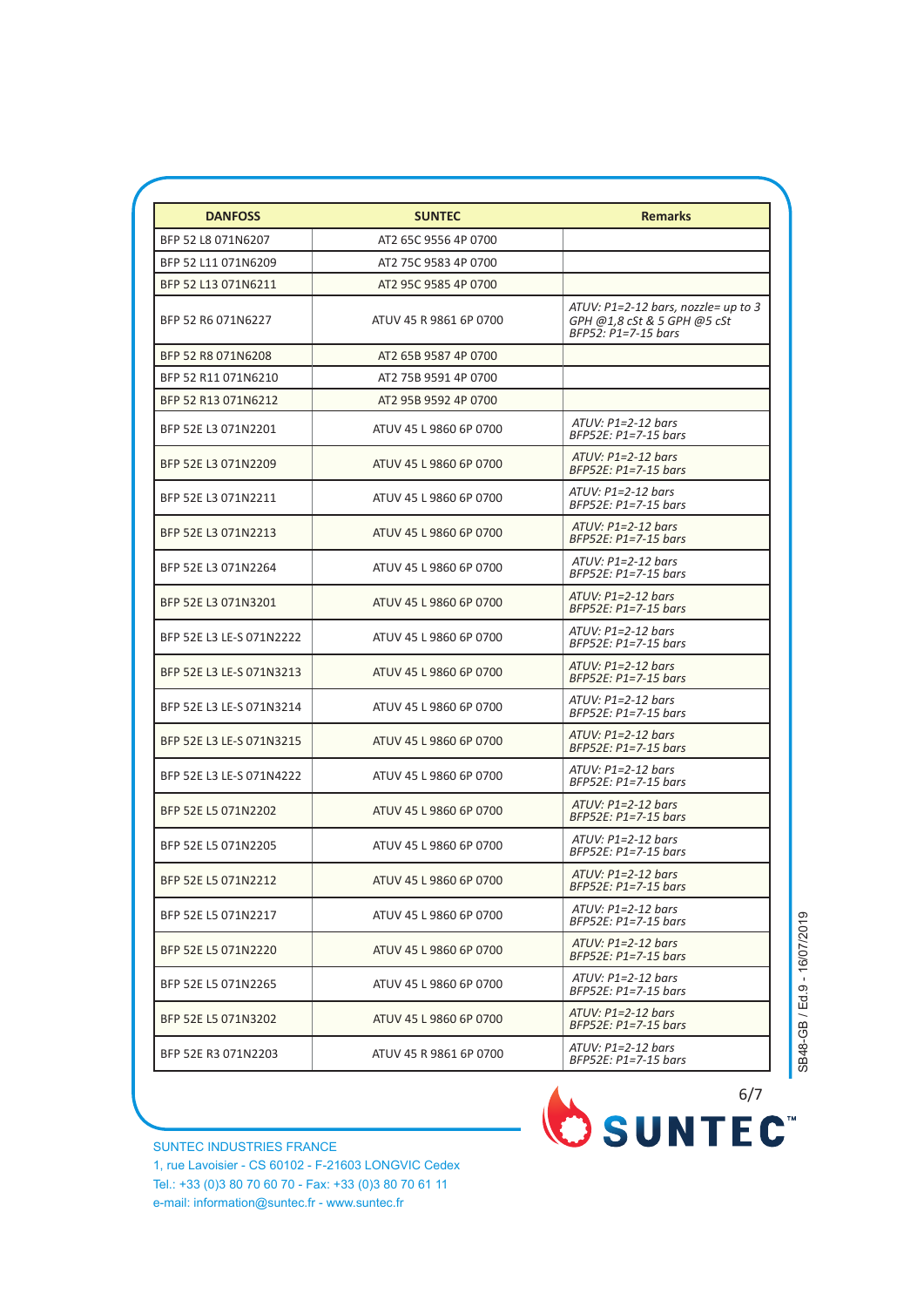| <b>DANFOSS</b>           | <b>SUNTEC</b>          | <b>Remarks</b>                                                                              |
|--------------------------|------------------------|---------------------------------------------------------------------------------------------|
| BFP 52 L8 071N6207       | AT2 65C 9556 4P 0700   |                                                                                             |
| BFP 52 L11 071N6209      | AT2 75C 9583 4P 0700   |                                                                                             |
| BFP 52 L13 071N6211      | AT2 95C 9585 4P 0700   |                                                                                             |
| BFP 52 R6 071N6227       | ATUV 45 R 9861 6P 0700 | ATUV: $P1=2-12$ bars, nozzle= up to 3<br>GPH @1,8 cSt & 5 GPH @5 cSt<br>BFP52: P1=7-15 bars |
| BFP 52 R8 071N6208       | AT2 65B 9587 4P 0700   |                                                                                             |
| BFP 52 R11 071N6210      | AT2 75B 9591 4P 0700   |                                                                                             |
| BFP 52 R13 071N6212      | AT2 95B 9592 4P 0700   |                                                                                             |
| BFP 52E L3 071N2201      | ATUV 45 L 9860 6P 0700 | $ATUV: P1=2-12 bars$<br>BFP52E: P1=7-15 bars                                                |
| BFP 52E L3 071N2209      | ATUV 45 L 9860 6P 0700 | $ATUV: P1=2-12 bars$<br>BFP52E: P1=7-15 bars                                                |
| BFP 52E L3 071N2211      | ATUV 45 L 9860 6P 0700 | $ATUV: P1=2-12 bars$<br>$BFP52E: P1=7-15 bars$                                              |
| BFP 52E L3 071N2213      | ATUV 45 L 9860 6P 0700 | $ATUV: P1=2-12 bars$<br>BFP52E: P1=7-15 bars                                                |
| BFP 52E L3 071N2264      | ATUV 45 L 9860 6P 0700 | $ATUV: P1=2-12 bars$<br>BFP52E: P1=7-15 bars                                                |
| BFP 52E L3 071N3201      | ATUV 45 L 9860 6P 0700 | $ATUV: P1=2-12 bars$<br>BFP52E: P1=7-15 bars                                                |
| BFP 52E L3 LE-S 071N2222 | ATUV 45 L 9860 6P 0700 | $ATUV: P1=2-12 bars$<br>$BFP52E: P1=7-15 bars$                                              |
| BFP 52E L3 LE-S 071N3213 | ATUV 45 L 9860 6P 0700 | $ATUV: P1=2-12 bars$<br>BFP52E: P1=7-15 bars                                                |
| BFP 52E L3 LE-S 071N3214 | ATUV 45 L 9860 6P 0700 | $ATUV: P1=2-12 bars$<br>BFP52E: P1=7-15 bars                                                |
| BFP 52E L3 LE-S 071N3215 | ATUV 45 L 9860 6P 0700 | $ATUV: P1=2-12 bars$<br>$BFP52E: P1=7-15 bars$                                              |
| BFP 52E L3 LE-S 071N4222 | ATUV 45 L 9860 6P 0700 | $ATUV: P1=2-12 bars$<br>BFP52E: P1=7-15 bars                                                |
| BFP 52E L5 071N2202      | ATUV 45 L 9860 6P 0700 | $ATUV: P1=2-12 bars$<br>BFP52E: P1=7-15 bars                                                |
| BFP 52E L5 071N2205      | ATUV 45 L 9860 6P 0700 | $ATUV: P1=2-12 bars$<br>BFP52E: P1=7-15 bars                                                |
| BFP 52E L5 071N2212      | ATUV 45 L 9860 6P 0700 | ATUV: P1=2-12 bars<br>$BFP52E: P1=7-15 bars$                                                |
| BFP 52E L5 071N2217      | ATUV 45 L 9860 6P 0700 | $ATUV: P1=2-12 bars$<br>BFP52E: P1=7-15 bars                                                |
| BFP 52E L5 071N2220      | ATUV 45 L 9860 6P 0700 | $ATUV: P1=2-12 bars$<br>$BFP52E: P1=7-15$ bars                                              |
| BFP 52E L5 071N2265      | ATUV 45 L 9860 6P 0700 | $ATUV: P1=2-12 bars$<br>BFP52E: P1=7-15 bars                                                |
| BFP 52E L5 071N3202      | ATUV 45 L 9860 6P 0700 | $ATUV: P1=2-12 bars$<br>BFP52E: P1=7-15 bars                                                |
| BFP 52E R3 071N2203      | ATUV 45 R 9861 6P 0700 | $ATUV: P1=2-12 bars$<br>BFP52E: P1=7-15 bars                                                |

SB48-GB / Ed.9 - 16/07/2019 SB48-GB / Ed.9 - 16/07/2019

SUNTEC INDUSTRIES FRANCE 1, rue Lavoisier - CS 60102 - F-21603 LONGVIC Cedex Tel.: +33 (0)3 80 70 60 70 - Fax: +33 (0)3 80 70 61 11 e-mail: information@suntec.fr - www.suntec.fr

OSUNTEC